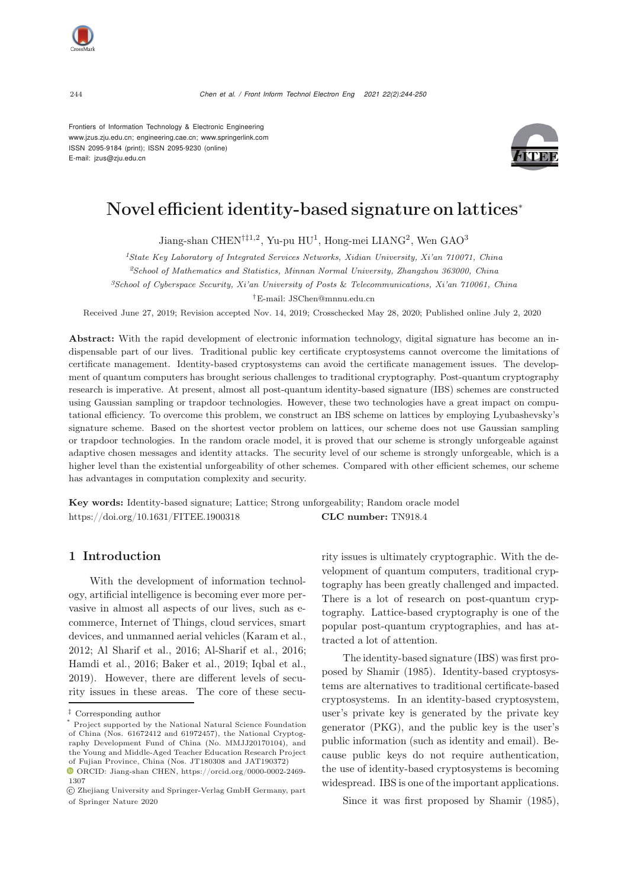



# Novel efficient identity-based signature on lattices<sup>∗</sup>

Jiang-shan CHEN†‡1,2, Yu-pu HU<sup>1</sup>, Hong-mei LIANG<sup>2</sup>, Wen GAO<sup>3</sup>

*<sup>1</sup>State Key Laboratory of Integrated Services Networks, Xidian University, Xi'an 710071, China <sup>2</sup>School of Mathematics and Statistics, Minnan Normal University, Zhangzhou 363000, China*

*<sup>3</sup>School of Cyberspace Security, Xi'an University of Posts* & *Telecommunications, Xi'an 710061, China*

†E-mail: JSChen@mnnu.edu.cn

Received June 27, 2019; Revision accepted Nov. 14, 2019; Crosschecked May 28, 2020; Published online July 2, 2020

Abstract: With the rapid development of electronic information technology, digital signature has become an indispensable part of our lives. Traditional public key certificate cryptosystems cannot overcome the limitations of certificate management. Identity-based cryptosystems can avoid the certificate management issues. The development of quantum computers has brought serious challenges to traditional cryptography. Post-quantum cryptography research is imperative. At present, almost all post-quantum identity-based signature (IBS) schemes are constructed using Gaussian sampling or trapdoor technologies. However, these two technologies have a great impact on computational efficiency. To overcome this problem, we construct an IBS scheme on lattices by employing Lyubashevsky's signature scheme. Based on the shortest vector problem on lattices, our scheme does not use Gaussian sampling or trapdoor technologies. In the random oracle model, it is proved that our scheme is strongly unforgeable against adaptive chosen messages and identity attacks. The security level of our scheme is strongly unforgeable, which is a higher level than the existential unforgeability of other schemes. Compared with other efficient schemes, our scheme has advantages in computation complexity and security.

Key words: Identity-based signature; Lattice; Strong unforgeability; Random oracle model https://doi.org/10.1631/FITEE.1900318 CLC number: TN918.4

# 1 Introduction

With the development of information technology, artificial intelligence is becoming ever more pervasive in almost all aspects of our lives, such as ecommerce, Internet of Things, cloud services, smart devices, and unmanned aerial vehicles [\(Karam et al.](#page-5-0), [2012](#page-5-0); [Al Sharif et al., 2016;](#page-5-1) [Al-Sharif et al., 2016;](#page-5-2) [Hamdi et al., 2016](#page-5-3); [Baker et al., 2019](#page-5-4); [Iqbal et al.](#page-5-5), [2019](#page-5-5)). However, there are different levels of security issues in these areas. The core of these security issues is ultimately cryptographic. With the development of quantum computers, traditional cryptography has been greatly challenged and impacted. There is a lot of research on post-quantum cryptography. Lattice-based cryptography is one of the popular post-quantum cryptographies, and has attracted a lot of attention.

The identity-based signature (IBS) was first proposed by [Shamir](#page-5-6) [\(1985\)](#page-5-6). Identity-based cryptosystems are alternatives to traditional certificate-based cryptosystems. In an identity-based cryptosystem, user's private key is generated by the private key generator (PKG), and the public key is the user's public information (such as identity and email). Because public keys do not require authentication, the use of identity-based cryptosystems is becoming widespread. IBS is one of the important applications.

Since it was first proposed by Shamir (1985),



<sup>‡</sup> Corresponding author

Project supported by the National Natural Science Foundation of China (Nos. 61672412 and 61972457), the National Cryptography Development Fund of China (No. MMJJ20170104), and the Young and Middle-Aged Teacher Education Research Project of Fujian Province, China (Nos. JT180308 and JAT190372)

ORCID: Jiang-shan CHEN, https://orcid.org/0000-0002-2469- 1307

c Zhejiang University and Springer-Verlag GmbH Germany, part of Springer Nature 2020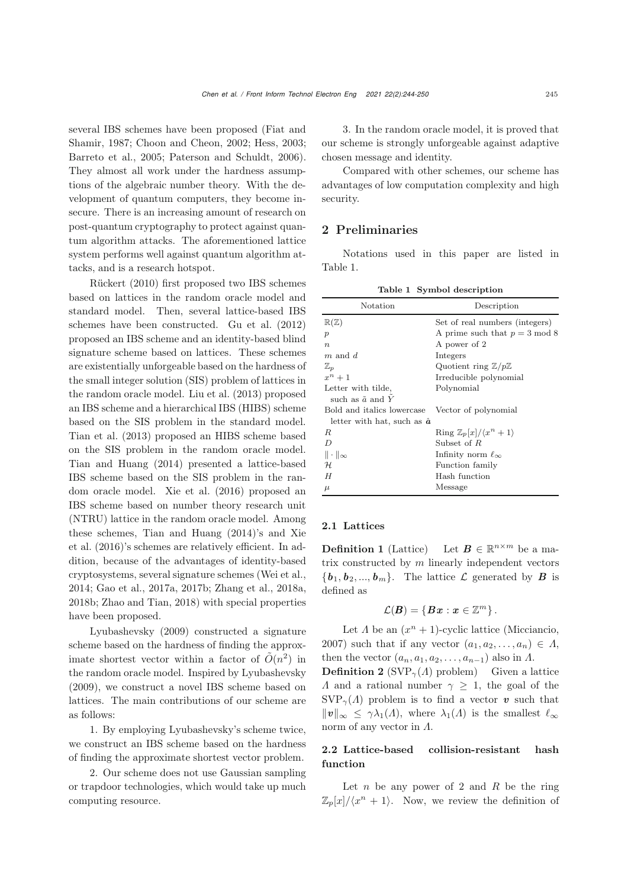several [IBS](#page-5-7) [schemes](#page-5-7) [have](#page-5-7) [been](#page-5-7) [proposed](#page-5-7) [\(](#page-5-7)Fiat and Shamir, [1987;](#page-5-7) [Choon and Cheon, 2002](#page-5-8); [Hess](#page-5-9), [2003;](#page-5-9) [Barreto et al.](#page-5-10), [2005](#page-5-10); [Paterson and Schuldt](#page-5-11), [2006\)](#page-5-11). They almost all work under the hardness assumptions of the algebraic number theory. With the development of quantum computers, they become insecure. There is an increasing amount of research on post-quantum cryptography to protect against quantum algorithm attacks. The aforementioned lattice system performs well against quantum algorithm attacks, and is a research hotspot.

Rückert [\(2010\)](#page-5-12) first proposed two IBS schemes based on lattices in the random oracle model and standard model. Then, several lattice-based IBS schemes have been constructed. [Gu et al.](#page-5-13) [\(2012](#page-5-13)) proposed an IBS scheme and an identity-based blind signature scheme based on lattices. These schemes are existentially unforgeable based on the hardness of the small integer solution (SIS) problem of lattices in the random oracle model. [Liu et al.](#page-5-14) [\(2013\)](#page-5-14) proposed an IBS scheme and a hierarchical IBS (HIBS) scheme based on the SIS problem in the standard model. [Tian et al.](#page-5-15) [\(2013\)](#page-5-15) proposed an HIBS scheme based on the SIS problem in the random oracle model. [Tian and Huang](#page-5-16) [\(2014\)](#page-5-16) presented a lattice-based IBS scheme based on the SIS problem in the random oracle model. [Xie et al.](#page-6-0) [\(2016\)](#page-6-0) proposed an IBS scheme based on number theory research unit (NTRU) lattice in the random oracle model. Among thes[e](#page-6-0) [schemes,](#page-6-0) [Tian and Huang](#page-5-16) [\(2014](#page-5-16)[\)'s](#page-6-0) [and](#page-6-0) Xie et al. [\(2016\)](#page-6-0)'s schemes are relatively efficient. In addition, because of the advantages of identity-based cryptosystems, several signature schemes (Wei et al., 2014; Gao et al., 2017a, 2017b; Zhang et al., 2018a, 2018b; Zhao and Tian, 2018) with special properties have been proposed.

Lyubashevsky [\(2009](#page-5-17)) constructed a signature scheme based on the hardness of finding the approximate shortest vector within a factor of  $O(n^2)$  in the random oracle model. Inspired by [Lyubashevsky](#page-5-17) [\(2009](#page-5-17)), we construct a novel IBS scheme based on lattices. The main contributions of our scheme are as follows:

1. By employing Lyubashevsky's scheme twice, we construct an IBS scheme based on the hardness of finding the approximate shortest vector problem.

2. Our scheme does not use Gaussian sampling or trapdoor technologies, which would take up much computing resource.

3. In the random oracle model, it is proved that our scheme is strongly unforgeable against adaptive chosen message and identity.

Compared with other schemes, our scheme has advantages of low computation complexity and high security.

# 2 Preliminaries

Notations used in this paper are listed in Table [1.](#page-1-0)

<span id="page-1-0"></span>Table 1 Symbol description

| Notation                            | Description                                 |  |  |  |
|-------------------------------------|---------------------------------------------|--|--|--|
| $\mathbb{R}(\mathbb{Z})$            | Set of real numbers (integers)              |  |  |  |
| $\boldsymbol{p}$                    | A prime such that $p = 3 \mod 8$            |  |  |  |
| $\eta$                              | A power of 2                                |  |  |  |
| $m$ and $d$                         | Integers                                    |  |  |  |
| $\mathbb{Z}_p$                      | Quotient ring $\mathbb{Z}/p\mathbb{Z}$      |  |  |  |
| $x^n+1$                             | Irreducible polynomial                      |  |  |  |
| Letter with tilde,                  | Polynomial                                  |  |  |  |
| such as $\tilde{a}$ and $\tilde{Y}$ |                                             |  |  |  |
| Bold and italics lowercase          | Vector of polynomial                        |  |  |  |
| letter with hat, such as $\hat{a}$  |                                             |  |  |  |
| R                                   | Ring $\mathbb{Z}_p[x]/\langle x^n+1\rangle$ |  |  |  |
| $\overline{D}$                      | Subset of $R$                               |  |  |  |
| $\ \cdot\ _{\infty}$                | Infinity norm $\ell_{\infty}$               |  |  |  |
| H                                   | Function family                             |  |  |  |
| H                                   | Hash function                               |  |  |  |
| $\mu$                               | Message                                     |  |  |  |

#### 2.1 Lattices

**Definition 1** (Lattice) Let  $B \in \mathbb{R}^{n \times m}$  be a matrix constructed by  $m$  linearly independent vectors  ${b_1, b_2, ..., b_m}$ . The lattice  $\mathcal{L}$  generated by *B* is defined as

$$
\mathcal{L}(\boldsymbol{B}) = \{\boldsymbol{Bx} : \boldsymbol{x} \in \mathbb{Z}^m\}.
$$

Let  $\Lambda$  be an  $(x^n + 1)$ -cyclic lattice [\(Micciancio](#page-5-18), [2007](#page-5-18)) such that if any vector  $(a_1, a_2, \ldots, a_n) \in \Lambda$ , then the vector  $(a_n, a_1, a_2, \ldots, a_{n-1})$  also in  $\Lambda$ .

**Definition 2** (SVP<sub> $\gamma$ </sub>( $\Lambda$ ) problem) Given a lattice A and a rational number  $\gamma \geq 1$ , the goal of the  $SVP_{\gamma}(A)$  problem is to find a vector *v* such that  $||v||_{\infty} \leq \gamma \lambda_1(\Lambda)$ , where  $\lambda_1(\Lambda)$  is the smallest  $\ell_{\infty}$ norm of any vector in Λ.

# 2.2 Lattice-based collision-resistant hash function

Let  $n$  be any power of 2 and  $R$  be the ring  $\mathbb{Z}_p[x]/\langle x^n + 1 \rangle$ . Now, we review the definition of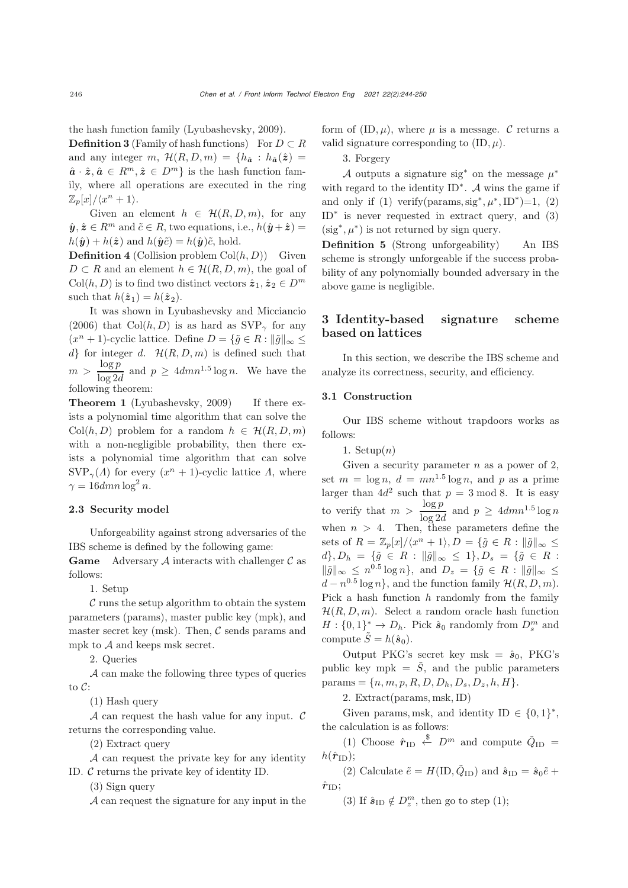the hash function family [\(Lyubashevsky, 2009\)](#page-5-17).

**Definition 3** (Family of hash functions) For  $D \subset R$ and any integer m,  $\mathcal{H}(R, D, m) = \{h_{\hat{a}} : h_{\hat{a}}(\hat{z}) =$  $\hat{a} \cdot \hat{z}, \hat{a} \in R^m, \hat{z} \in D^m$  is the hash function family, where all operations are executed in the ring  $\mathbb{Z}_p[x]/\langle x^n+1\rangle$ .

Given an element  $h \in \mathcal{H}(R, D, m)$ , for any  $\hat{\mathbf{y}}$ ,  $\hat{\mathbf{z}} \in R^m$  and  $\tilde{c} \in R$ , two equations, i.e.,  $h(\hat{\mathbf{y}} + \hat{\mathbf{z}}) =$  $h(\hat{y}) + h(\hat{z})$  and  $h(\hat{y}\tilde{c}) = h(\hat{y})\tilde{c}$ , hold.

**Definition 4** (Collision problem  $Col(h, D)$ ) Given  $D \subset R$  and an element  $h \in \mathcal{H}(R, D, m)$ , the goal of  $Col(h, D)$  is to find two distinct vectors  $\hat{\mathbf{z}}_1, \hat{\mathbf{z}}_2 \in D^m$ such that  $h(\hat{\mathbf{z}}_1) = h(\hat{\mathbf{z}}_2)$ .

It was shown in [Lyubashevsky and Micciancio](#page-5-19) [\(2006](#page-5-19)) that Col $(h, D)$  is as hard as SVP<sub> $\gamma$ </sub> for any  $(x<sup>n</sup> + 1)$ -cyclic lattice. Define  $D = {\tilde{g} \in R : ||\tilde{g}||_{\infty} \leq$  $d$  for integer d.  $\mathcal{H}(R, D, m)$  is defined such that  $m > \frac{\log p}{\log 2d}$  and  $p \geq 4dmn^{1.5} \log n$ . We have the following theorem:

Theorem 1 [\(Lyubashevsky](#page-5-17), [2009](#page-5-17)) If there exists a polynomial time algorithm that can solve the  $Col(h, D)$  problem for a random  $h \in \mathcal{H}(R, D, m)$ with a non-negligible probability, then there exists a polynomial time algorithm that can solve  $SVP_{\gamma}(A)$  for every  $(x^{n} + 1)$ -cyclic lattice A, where  $\gamma = 16$ dmn  $\log^2 n$ .

## 2.3 Security model

Unforgeability against strong adversaries of the IBS scheme is defined by the following game:

**Game** Adversary A interacts with challenger  $\mathcal{C}$  as follows:

1. Setup

 $\mathcal C$  runs the setup algorithm to obtain the system parameters (params), master public key (mpk), and master secret key (msk). Then,  $\mathcal C$  sends params and mpk to  $A$  and keeps msk secret.

2. Queries

A can make the following three types of queries to C:

(1) Hash query

A can request the hash value for any input.  $\mathcal C$ returns the corresponding value.

(2) Extract query

A can request the private key for any identity ID. C returns the private key of identity ID.

(3) Sign query

A can request the signature for any input in the

form of  $(ID, \mu)$ , where  $\mu$  is a message. C returns a valid signature corresponding to  $(ID, \mu)$ .

3. Forgery

A outputs a signature sig<sup>\*</sup> on the message  $\mu^*$ with regard to the identity  $ID^*$ . A wins the game if and only if (1) verify(params, sig<sup>\*</sup>,  $\mu^*$ , ID<sup>\*</sup>)=1, (2) ID<sup>∗</sup> is never requested in extract query, and (3)  $(\text{sig}^*, \mu^*)$  is not returned by sign query.

Definition 5 (Strong unforgeability) An IBS scheme is strongly unforgeable if the success probability of any polynomially bounded adversary in the above game is negligible.

# 3 Identity-based signature scheme based on lattices

In this section, we describe the IBS scheme and analyze its correctness, security, and efficiency.

# 3.1 Construction

Our IBS scheme without trapdoors works as follows:

1. Setup $(n)$ 

Given a security parameter  $n$  as a power of 2, set  $m = \log n$ ,  $d = mn^{1.5} \log n$ , and p as a prime larger than  $4d^2$  such that  $p = 3 \text{ mod } 8$ . It is easy to verify that  $m > \frac{\log p}{\log 2d}$  and  $p \geq 4dmn^{1.5} \log n$ when  $n > 4$ . Then, these parameters define the sets of  $R = \mathbb{Z}_p[x]/\langle x^n + 1 \rangle, D = \{\tilde{g} \in R : ||\tilde{g}||_{\infty} \leq$  $d$ ,  $D_h = \{\tilde{g} \in R : \|\tilde{g}\|_{\infty} \leq 1\}, D_s = \{\tilde{g} \in R : \tilde{g}\}$  $\|\tilde{g}\|_{\infty} \leq n^{0.5} \log n$ , and  $D_z = \{\tilde{g} \in R : \|\tilde{g}\|_{\infty} \leq$  $d - n^{0.5} \log n$ , and the function family  $\mathcal{H}(R, D, m)$ . Pick a hash function  $h$  randomly from the family  $\mathcal{H}(R, D, m)$ . Select a random oracle hash function  $H: \{0,1\}^* \to D_h$ . Pick  $\hat{s}_0$  randomly from  $D_s^m$  and compute  $\tilde{S} = h(\hat{s}_0)$ .

Output PKG's secret key msk =  $\hat{s}_0$ , PKG's public key mpk =  $\tilde{S}$ , and the public parameters params =  $\{n, m, p, R, D, D_h, D_s, D_z, h, H\}.$ 

2. Extract(params, msk,ID)

Given params, msk, and identity ID  $\in \{0,1\}^*$ , the calculation is as follows:

(1) Choose  $\hat{r}_{\text{ID}} \stackrel{\$}{\leftarrow} D^m$  and compute  $\tilde{Q}_{\text{ID}} =$  $h(\hat{\boldsymbol{r}}_{\text{ID}});$ 

(2) Calculate  $\tilde{e} = H(ID, \tilde{Q}_{ID})$  and  $\hat{s}_{ID} = \hat{s}_0 \tilde{e}$  +  $\hat{\bm{r}}_\text{ID};$ 

(3) If  $\hat{\mathbf{s}}_{\text{ID}} \notin D_z^m$ , then go to step (1);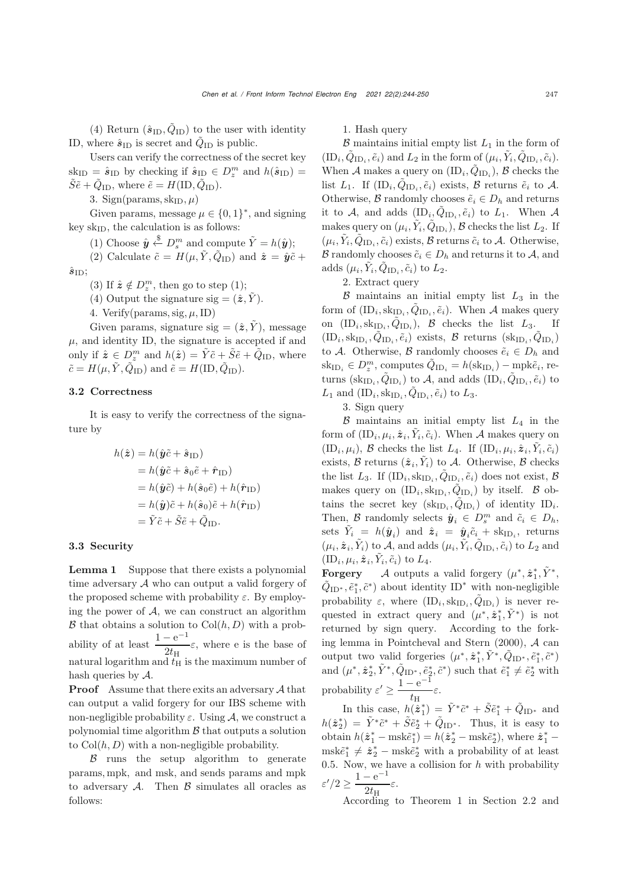(4) Return  $(\hat{\mathbf{s}}_{\text{ID}}, Q_{\text{ID}})$  to the user with identity ID, where  $\hat{\mathbf{s}}_{\text{ID}}$  is secret and  $\hat{Q}_{\text{ID}}$  is public.

Users can verify the correctness of the secret key  $sk_{ID} = \hat{s}_{ID}$  by checking if  $\hat{s}_{ID} \in D_z^m$  and  $h(\hat{s}_{ID}) =$  $\tilde{S}\tilde{e} + \tilde{Q}_{\text{ID}}$ , where  $\tilde{e} = H(\text{ID}, \tilde{Q}_{\text{ID}})$ .

3. Sign(params,  $\text{sk}_{\text{ID}}, \mu$ )

Given params, message  $\mu \in \{0,1\}^*$ , and signing key  $sk_{ID}$ , the calculation is as follows:

(1) Choose  $\hat{\mathbf{y}} \stackrel{\$}{\leftarrow} D_s^m$  and compute  $\tilde{Y} = h(\hat{\mathbf{y}});$ 

(2) Calculate  $\tilde{c} = H(\mu, \tilde{Y}, \tilde{Q}_{\text{ID}})$  and  $\hat{\mathbf{z}} = \hat{\mathbf{y}}\tilde{c} +$  $\hat{s}_{\text{ID}}$ ;

(3) If  $\hat{\mathbf{z}} \notin D_z^m$ , then go to step (1);

(4) Output the signature sig  $=(\hat{\mathbf{z}}, \hat{Y})$ .

4. Verify(params, sig,  $\mu$ , ID)

Given params, signature sig  $=(\hat{z}, \hat{Y})$ , message  $\mu,$  and identity ID, the signature is accepted if and only if  $\hat{\mathbf{z}} \in D_z^m$  and  $h(\hat{\mathbf{z}}) = \tilde{Y}\tilde{c} + \tilde{S}\tilde{e} + \tilde{Q}_{\text{ID}}$ , where  $\tilde{c} = H(\mu, \tilde{Y}, \tilde{Q}_{\text{ID}})$  and  $\tilde{e} = H(\text{ID}, \tilde{Q}_{\text{ID}})$ .

# 3.2 Correctness

It is easy to verify the correctness of the signature by

$$
h(\hat{\mathbf{z}}) = h(\hat{\mathbf{y}}\tilde{c} + \hat{\mathbf{s}}_{\text{ID}})
$$
  
=  $h(\hat{\mathbf{y}}\tilde{c} + \hat{\mathbf{s}}_0\tilde{e} + \hat{\mathbf{r}}_{\text{ID}})$   
=  $h(\hat{\mathbf{y}}\tilde{c}) + h(\hat{\mathbf{s}}_0\tilde{e}) + h(\hat{\mathbf{r}}_{\text{ID}})$   
=  $h(\hat{\mathbf{y}})\tilde{c} + h(\hat{\mathbf{s}}_0)\tilde{e} + h(\hat{\mathbf{r}}_{\text{ID}})$   
=  $\tilde{Y}\tilde{c} + \tilde{S}\tilde{e} + \tilde{Q}_{\text{ID}}.$ 

#### 3.3 Security

Lemma 1 Suppose that there exists a polynomial time adversary  $A$  who can output a valid forgery of the proposed scheme with probability  $\varepsilon$ . By employing the power of  $A$ , we can construct an algorithm  $\mathcal B$  that obtains a solution to  $\text{Col}(h, D)$  with a probability of at least  $\frac{1 - e^{-1}}{2t_{\text{H}}} \varepsilon$ , where e is the base of natural logarithm and  $t_H$  is the maximum number of hash queries by A.

Proof Assume that there exits an adversary A that can output a valid forgery for our IBS scheme with non-negligible probability  $\varepsilon$ . Using A, we construct a polynomial time algorithm  $\beta$  that outputs a solution to  $Col(h, D)$  with a non-negligible probability.

 $\beta$  runs the setup algorithm to generate params, mpk, and msk, and sends params and mpk to adversary  $A$ . Then  $\beta$  simulates all oracles as follows:

1. Hash query

 $\beta$  maintains initial empty list  $L_1$  in the form of  $(\text{ID}_i, \tilde{Q}_{\text{ID}_i}, \tilde{e}_i)$  and  $L_2$  in the form of  $(\mu_i, \tilde{Y}_i, \tilde{Q}_{\text{ID}_i}, \tilde{c}_i)$ . When A makes a query on  $(ID_i, \hat{Q}_{ID_i}), \mathcal{B}$  checks the list  $L_1$ . If  $(ID_i, \tilde{Q}_{ID_i}, \tilde{e}_i)$  exists,  $\beta$  returns  $\tilde{e}_i$  to  $\mathcal{A}$ . Otherwise, B randomly chooses  $\tilde{e}_i \in D_h$  and returns it to A, and adds  $(ID_i, \tilde{Q}_{ID_i}, \tilde{e}_i)$  to  $L_1$ . When A makes query on  $(\mu_i, \tilde{Y}_i, \tilde{Q}_{ID_i}), \mathcal{B}$  checks the list  $L_2$ . If  $(\mu_i, \tilde{Y}_i, \tilde{Q}_{ID_i}, \tilde{c}_i)$  exists, B returns  $\tilde{c}_i$  to A. Otherwise, B randomly chooses  $\tilde{c}_i \in D_h$  and returns it to A, and adds  $(\mu_i, Y_i, Q_{ID_i}, \tilde{c}_i)$  to  $L_2$ .

2. Extract query

 $\beta$  maintains an initial empty list  $L_3$  in the form of  $(ID_i, sk_{ID_i}, \tilde{Q}_{ID_i}, \tilde{e}_i)$ . When A makes query on  $(ID_i, sk_{ID_i}, \tilde{Q}_{ID_i}), \; \mathcal{B}$  checks the list  $L_3$ . If  $(\text{ID}_i, \text{sk}_{\text{ID}_i}, Q_{\text{ID}_i}, \tilde{e}_i)$  exists,  $\mathcal{B}$  returns  $(\text{sk}_{\text{ID}_i}, Q_{\text{ID}_i})$ to A. Otherwise, B randomly chooses  $\tilde{e}_i \in D_h$  and  $\operatorname{sk}_{\text{ID}_i} \in D_z^m$ , computes  $\tilde{Q}_{\text{ID}_i} = h(\operatorname{sk}_{\text{ID}_i}) - \operatorname{mpk}\tilde{e}_i$ , returns  $(sk_{ID_i}, \tilde{Q}_{ID_i})$  to A, and adds  $(ID_i, \tilde{Q}_{ID_i}, \tilde{e}_i)$  to  $L_1$  and  $(ID_i, sk_{ID_i}, Q_{ID_i}, \tilde{e}_i)$  to  $L_3$ .

3. Sign query

 $\beta$  maintains an initial empty list  $L_4$  in the form of  $(ID_i, \mu_i, \hat{z}_i, \tilde{Y}_i, \tilde{c}_i)$ . When A makes query on  $(ID_i, \mu_i), \mathcal{B}$  checks the list  $L_4$ . If  $(ID_i, \mu_i, \hat{z}_i, \tilde{Y}_i, \tilde{c}_i)$ exists,  $\mathcal B$  returns  $(\hat{\boldsymbol{z}}_i, \tilde{Y}_i)$  to  $\mathcal A$ . Otherwise,  $\mathcal B$  checks the list  $L_3$ . If  $(ID_i, sk_{ID_i}, \tilde{Q}_{ID_i}, \tilde{e}_i)$  does not exist,  $\mathcal{B}$ makes query on  $(ID_i, sk_{ID_i}, \tilde{Q}_{ID_i})$  by itself. B obtains the secret key  $(\text{sk}_{\text{ID}_i}, \tilde{Q}_{\text{ID}_i})$  of identity  $ID_i$ . Then, B randomly selects  $\hat{y}_i \in D_s^m$  and  $\tilde{c}_i \in D_h$ , sets  $\tilde{Y}_i = h(\hat{\mathbf{y}}_i)$  and  $\hat{\mathbf{z}}_i = \hat{\mathbf{y}}_i \tilde{c}_i + \text{sk}_{\text{ID}_i}$ , returns  $(\mu_i, \hat{\mathbf{z}}_i, \tilde{Y}_i)$  to A, and adds  $(\mu_i, \tilde{Y}_i, \tilde{Q}_{ID_i}, \tilde{c}_i)$  to  $L_2$  and  $(ID_i, \mu_i, \hat{\boldsymbol{z}}_i, Y_i, \tilde{c}_i)$  to  $L_4$ .

**Forgery** A outputs a valid forgery  $(\mu^*, \hat{z}_1^*, \tilde{Y}^*,$  $\tilde{Q}_{\text{ID}^*}, \tilde{e}_1^*, \tilde{c}^*$  ) about identity  $\text{ID}^*$  with non-negligible probability  $\varepsilon$ , where  $(ID_i, sk_{ID_i}, \tilde{Q}_{ID_i})$  is never requested in extract query and  $(\mu^*, \hat{z}_1^*, \tilde{Y}^*)$  is not returned by sign query. According to the forking lemma in [Pointcheval and Stern](#page-5-20) [\(2000\)](#page-5-20), A can output two valid forgeries  $(\mu^*, \hat{z}_1^*, \tilde{Y}^*, \tilde{Q}_{\text{ID}^*}, \tilde{e}_1^*, \tilde{c}^*)$ and  $(\mu^*, \hat{z}_2^*, \tilde{Y}^*, \tilde{Q}_{ID^*}, \tilde{e}_2^*, \tilde{c}^*)$  such that  $\tilde{e}_1^* \neq \tilde{e}_2^*$  with probability  $\varepsilon' \geq \frac{1 - e^{-1}}{1}$  $\frac{\epsilon}{t_{\rm H}}$ 

In this case,  $h(\hat{\boldsymbol{z}}_1^*) = \tilde{Y}^* \tilde{c}^* + \tilde{S} \tilde{e}_1^* + \tilde{Q}_{\text{ID}^*}$  and  $h(\hat{\boldsymbol{z}}_2^*) = \tilde{Y}^* \tilde{c}^* + \tilde{S} \tilde{e}_2^* + \tilde{Q}_{\text{ID}^*}.$  Thus, it is easy to obtain  $h(\hat{\boldsymbol{z}}_1^* - \text{msk}\tilde{e}_1^*) = h(\hat{\boldsymbol{z}}_2^* - \text{msk}\tilde{e}_2^*)$ , where  $\hat{\boldsymbol{z}}_1^*$  –  $\text{msk}\tilde{e}_1^* \neq \hat{z}_2^* - \text{msk}\tilde{e}_2^*$  with a probability of at least 0.5. Now, we have a collision for  $h$  with probability  $\epsilon'/2 \geq \frac{1-e^{-1}}{2}$  $\frac{\epsilon}{2t_{\rm H}}$ 

According to Theorem 1 in Section 2.2 and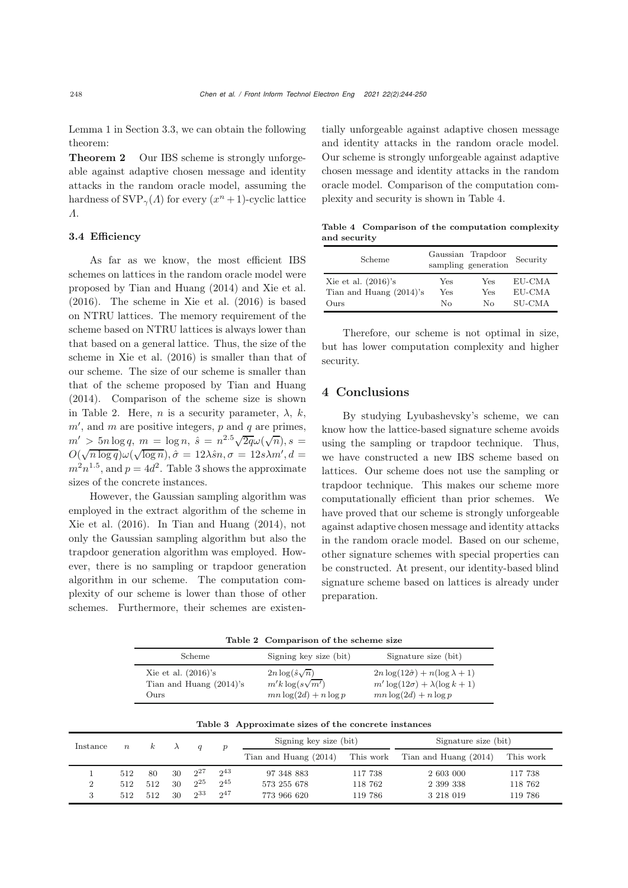Lemma 1 in Section 3.3, we can obtain the following theorem:

Theorem 2 Our IBS scheme is strongly unforgeable against adaptive chosen message and identity attacks in the random oracle model, assuming the hardness of  $SVP_{\gamma}(A)$  for every  $(x^{n}+1)$ -cyclic lattice Λ.

# 3.4 Efficiency

As far as we know, the most efficient IBS schemes on lattices in the random oracle model were proposed by [Tian and Huang](#page-5-16) [\(2014](#page-5-16)) and [Xie et al.](#page-6-0) [\(2016](#page-6-0)). The scheme in [Xie et al.](#page-6-0) [\(2016](#page-6-0)) is based on NTRU lattices. The memory requirement of the scheme based on NTRU lattices is always lower than that based on a general lattice. Thus, the size of the scheme in [Xie et al.](#page-6-0) [\(2016](#page-6-0)) is smaller than that of our scheme. The size of our scheme is smaller than that of the scheme proposed by [Tian and Huang](#page-5-16) [\(2014](#page-5-16)). Comparison of the scheme size is shown in Table [2.](#page-4-0) Here, *n* is a security parameter,  $\lambda$ , *k*,  $m'$ , and  $m$  are positive integers,  $p$  and  $q$  are primes,  $m' > 5n \log q$ ,  $m = \log n$ ,  $\hat{s} = n^{2.5} \sqrt{2q} \omega(\sqrt{n})$ ,  $s =$  $O(\sqrt{n \log q})\omega(\sqrt{\log n}), \hat{\sigma} = 12\lambda \hat{s}n, \sigma = 12s\lambda m', d =$  $m^2n^{1.5}$ , and  $p = 4d^2$ . Table [3](#page-4-1) shows the approximate sizes of the concrete instances.

However, the Gaussian sampling algorithm was employed in the extract algorithm of the scheme in [Xie et al.](#page-6-0) [\(2016](#page-6-0)). In [Tian and Huang](#page-5-16) [\(2014\)](#page-5-16), not only the Gaussian sampling algorithm but also the trapdoor generation algorithm was employed. However, there is no sampling or trapdoor generation algorithm in our scheme. The computation complexity of our scheme is lower than those of other schemes. Furthermore, their schemes are existentially unforgeable against adaptive chosen message and identity attacks in the random oracle model. Our scheme is strongly unforgeable against adaptive chosen message and identity attacks in the random oracle model. Comparison of the computation complexity and security is shown in Table [4.](#page-4-2)

<span id="page-4-2"></span>Table 4 Comparison of the computation complexity and security

| Scheme                     |     | Gaussian Trapdoor<br>sampling generation | Security |  |
|----------------------------|-----|------------------------------------------|----------|--|
| Xie et al. $(2016)$ 's     | Yes | Yes                                      | EU-CMA   |  |
| Tian and Huang $(2014)$ 's | Yes | Yes                                      | EU-CMA   |  |
| Ours                       | Nο  | Nο                                       | SU-CMA   |  |

Therefore, our scheme is not optimal in size, but has lower computation complexity and higher security.

## 4 Conclusions

By studying Lyubashevsky's scheme, we can know how the lattice-based signature scheme avoids using the sampling or trapdoor technique. Thus, we have constructed a new IBS scheme based on lattices. Our scheme does not use the sampling or trapdoor technique. This makes our scheme more computationally efficient than prior schemes. We have proved that our scheme is strongly unforgeable against adaptive chosen message and identity attacks in the random oracle model. Based on our scheme, other signature schemes with special properties can be constructed. At present, our identity-based blind signature scheme based on lattices is already under preparation.

<span id="page-4-0"></span>

|  | Table 2 Comparison of the scheme size |  |  |  |
|--|---------------------------------------|--|--|--|
|--|---------------------------------------|--|--|--|

| $2n \log(\hat{s}\sqrt{n})$<br>$2n \log(12\hat{\sigma}) + n(\log \lambda + 1)$<br>Xie et al. $(2016)$ 's<br>$m'k\log(s\sqrt{m'})$<br>$m' \log(12\sigma) + \lambda(\log k + 1)$<br>Tian and Huang $(2014)$ 's<br>$_{\rm Ours}$ | Scheme | Signing key size (bit)   | Signature size (bit)     |
|------------------------------------------------------------------------------------------------------------------------------------------------------------------------------------------------------------------------------|--------|--------------------------|--------------------------|
|                                                                                                                                                                                                                              |        | $mn \log(2d) + n \log p$ | $mn \log(2d) + n \log p$ |

<span id="page-4-1"></span>

|  | Table 3 Approximate sizes of the concrete instances |  |  |  |  |
|--|-----------------------------------------------------|--|--|--|--|
|--|-----------------------------------------------------|--|--|--|--|

| Instance<br>$\kappa$<br>$n_{\rm c}$ |     |     |    |          | Signing key size (bit) |                       | Signature size (bit) |                                 |           |
|-------------------------------------|-----|-----|----|----------|------------------------|-----------------------|----------------------|---------------------------------|-----------|
|                                     |     |     |    |          |                        | Tian and Huang (2014) |                      | This work Tian and Huang (2014) | This work |
|                                     | 512 | 80  | 30 | $2^{27}$ | $2^{43}$               | 97 348 883            | 117 738              | 2 603 000                       | 117 738   |
|                                     | 512 | 512 | 30 | $2^{25}$ | $2^{45}$               | 573 255 678           | 118 762              | 2 399 338                       | 118 762   |
|                                     | 512 | 512 | 30 | $2^{33}$ | 247                    | 773 966 620           | 119 786              | 3 2 18 0 19                     | 119 786   |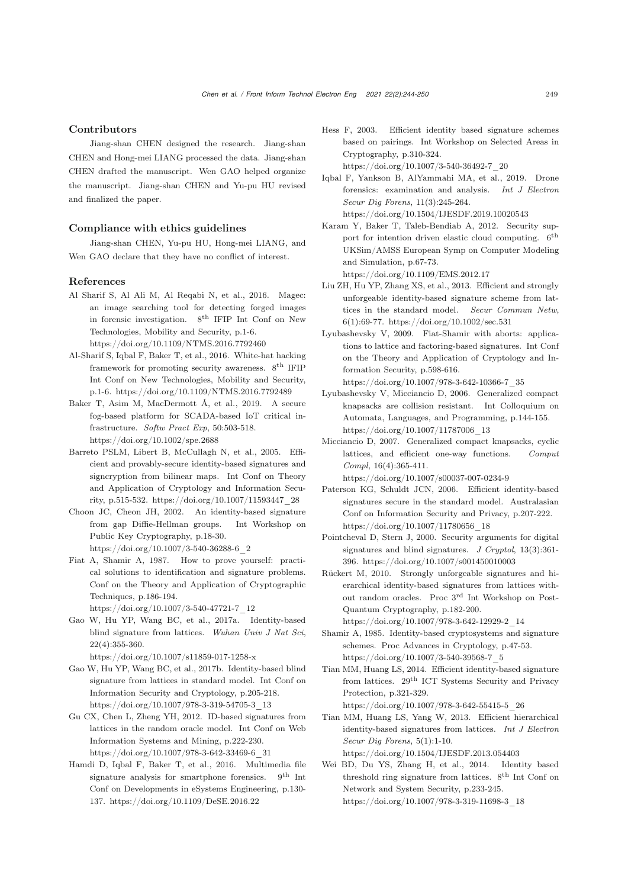#### Contributors

Jiang-shan CHEN designed the research. Jiang-shan CHEN and Hong-mei LIANG processed the data. Jiang-shan CHEN drafted the manuscript. Wen GAO helped organize the manuscript. Jiang-shan CHEN and Yu-pu HU revised and finalized the paper.

## Compliance with ethics guidelines

Jiang-shan CHEN, Yu-pu HU, Hong-mei LIANG, and Wen GAO declare that they have no conflict of interest.

#### References

- <span id="page-5-1"></span>Al Sharif S, Al Ali M, Al Reqabi N, et al., 2016. Magec: an image searching tool for detecting forged images in forensic investigation. 8th IFIP Int Conf on New Technologies, Mobility and Security, p.1-6. https://doi.org/10.1109/NTMS.2016.7792460
- <span id="page-5-2"></span>Al-Sharif S, Iqbal F, Baker T, et al., 2016. White-hat hacking framework for promoting security awareness. 8th IFIP Int Conf on New Technologies, Mobility and Security, p.1-6. https://doi.org/10.1109/NTMS.2016.7792489
- <span id="page-5-4"></span>Baker T, Asim M, MacDermott Á, et al., 2019. A secure fog-based platform for SCADA-based IoT critical infrastructure. *Softw Pract Exp*, 50:503-518. https://doi.org/10.1002/spe.2688
- <span id="page-5-10"></span>Barreto PSLM, Libert B, McCullagh N, et al., 2005. Efficient and provably-secure identity-based signatures and signcryption from bilinear maps. Int Conf on Theory and Application of Cryptology and Information Security, p.515-532. https://doi.org/10.1007/11593447\_28
- <span id="page-5-8"></span>Choon JC, Cheon JH, 2002. An identity-based signature from gap Diffie-Hellman groups. Int Workshop on Public Key Cryptography, p.18-30. https://doi.org/10.1007/3-540-36288-6\_2
- <span id="page-5-7"></span>Fiat A, Shamir A, 1987. How to prove yourself: practical solutions to identification and signature problems. Conf on the Theory and Application of Cryptographic Techniques, p.186-194. https://doi.org/10.1007/3-540-47721-7\_12
- Gao W, Hu YP, Wang BC, et al., 2017a. Identity-based blind signature from lattices. *Wuhan Univ J Nat Sci*, 22(4):355-360.

https://doi.org/10.1007/s11859-017-1258-x

- Gao W, Hu YP, Wang BC, et al., 2017b. Identity-based blind signature from lattices in standard model. Int Conf on Information Security and Cryptology, p.205-218. https://doi.org/10.1007/978-3-319-54705-3\_13
- <span id="page-5-13"></span>Gu CX, Chen L, Zheng YH, 2012. ID-based signatures from lattices in the random oracle model. Int Conf on Web Information Systems and Mining, p.222-230. https://doi.org/10.1007/978-3-642-33469-6\_31
- <span id="page-5-3"></span>Hamdi D, Iqbal F, Baker T, et al., 2016. Multimedia file signature analysis for smartphone forensics. 9<sup>th</sup> Int Conf on Developments in eSystems Engineering, p.130- 137. https://doi.org/10.1109/DeSE.2016.22
- <span id="page-5-9"></span>Hess F, 2003. Efficient identity based signature schemes based on pairings. Int Workshop on Selected Areas in Cryptography, p.310-324. https://doi.org/10.1007/3-540-36492-7\_20
- <span id="page-5-5"></span>Iqbal F, Yankson B, AlYammahi MA, et al., 2019. Drone forensics: examination and analysis. *Int J Electron Secur Dig Forens*, 11(3):245-264.

https://doi.org/10.1504/IJESDF.2019.10020543

- <span id="page-5-0"></span>Karam Y, Baker T, Taleb-Bendiab A, 2012. Security support for intention driven elastic cloud computing. 6th UKSim/AMSS European Symp on Computer Modeling and Simulation, p.67-73. https://doi.org/10.1109/EMS.2012.17
- <span id="page-5-14"></span>Liu ZH, Hu YP, Zhang XS, et al., 2013. Efficient and strongly unforgeable identity-based signature scheme from lattices in the standard model. *Secur Commun Netw*, 6(1):69-77. https://doi.org/10.1002/sec.531
- <span id="page-5-17"></span>Lyubashevsky V, 2009. Fiat-Shamir with aborts: applications to lattice and factoring-based signatures. Int Conf on the Theory and Application of Cryptology and Information Security, p.598-616.

https://doi.org/10.1007/978-3-642-10366-7\_35

- <span id="page-5-19"></span>Lyubashevsky V, Micciancio D, 2006. Generalized compact knapsacks are collision resistant. Int Colloquium on Automata, Languages, and Programming, p.144-155. https://doi.org/10.1007/11787006\_13
- <span id="page-5-18"></span>Micciancio D, 2007. Generalized compact knapsacks, cyclic lattices, and efficient one-way functions. *Comput Compl*, 16(4):365-411. https://doi.org/10.1007/s00037-007-0234-9
- <span id="page-5-11"></span>Paterson KG, Schuldt JCN, 2006. Efficient identity-based signatures secure in the standard model. Australasian Conf on Information Security and Privacy, p.207-222. https://doi.org/10.1007/11780656\_18
- <span id="page-5-20"></span>Pointcheval D, Stern J, 2000. Security arguments for digital signatures and blind signatures. *J Cryptol*, 13(3):361- 396. https://doi.org/10.1007/s001450010003
- <span id="page-5-12"></span>Rückert M, 2010. Strongly unforgeable signatures and hierarchical identity-based signatures from lattices without random oracles. Proc 3rd Int Workshop on Post-Quantum Cryptography, p.182-200.
	- https://doi.org/10.1007/978-3-642-12929-2\_14
- <span id="page-5-6"></span>Shamir A, 1985. Identity-based cryptosystems and signature schemes. Proc Advances in Cryptology, p.47-53. https://doi.org/10.1007/3-540-39568-7\_5
- <span id="page-5-16"></span>Tian MM, Huang LS, 2014. Efficient identity-based signature from lattices. 29th ICT Systems Security and Privacy Protection, p.321-329.
- <span id="page-5-15"></span>https://doi.org/10.1007/978-3-642-55415-5\_26 Tian MM, Huang LS, Yang W, 2013. Efficient hierarchical identity-based signatures from lattices. *Int J Electron Secur Dig Forens*, 5(1):1-10. https://doi.org/10.1504/IJESDF.2013.054403
- Wei BD, Du YS, Zhang H, et al., 2014. Identity based threshold ring signature from lattices.  $8^{\rm th}$  Int Conf on Network and System Security, p.233-245. https://doi.org/10.1007/978-3-319-11698-3\_18